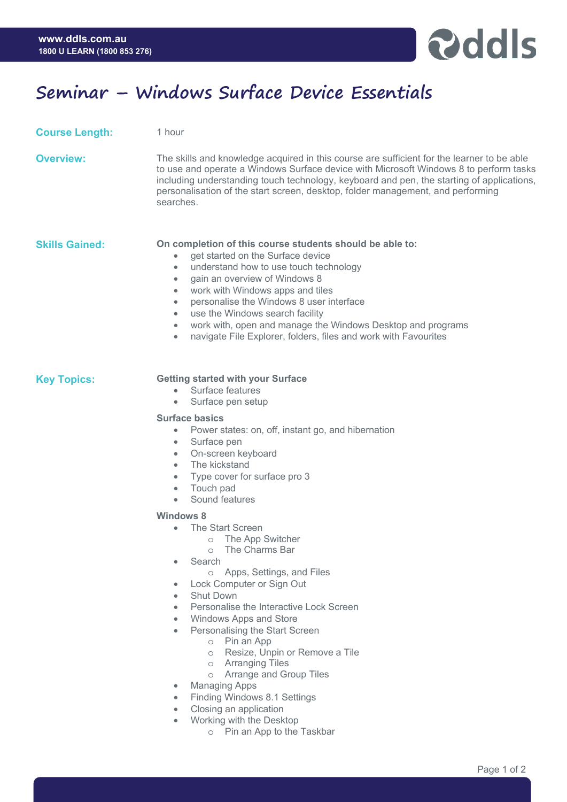

# **Seminar – Windows Surface Device Essentials**

1 hour

| <b>Course Length:</b> |  |
|-----------------------|--|
|                       |  |

| Overview: | The skills and knowledge acquired in this course are sufficient for the learner to be able<br>to use and operate a Windows Surface device with Microsoft Windows 8 to perform tasks<br>including understanding touch technology, keyboard and pen, the starting of applications,<br>personalisation of the start screen, desktop, folder management, and performing<br>searches. |
|-----------|----------------------------------------------------------------------------------------------------------------------------------------------------------------------------------------------------------------------------------------------------------------------------------------------------------------------------------------------------------------------------------|
|           |                                                                                                                                                                                                                                                                                                                                                                                  |

- **Skills Gained: On completion of this course students should be able to:** 
	- get started on the Surface device
	- understand how to use touch technology
	- gain an overview of Windows 8
	- work with Windows apps and tiles
	- personalise the Windows 8 user interface
	- use the Windows search facility
	- work with, open and manage the Windows Desktop and programs
	- navigate File Explorer, folders, files and work with Favourites

### **Key Topics: Getting started with your Surface**

- Surface features
- Surface pen setup

#### **Surface basics**

- Power states: on, off, instant go, and hibernation
	- Surface pen
	- On-screen keyboard
	- The kickstand
	- Type cover for surface pro 3
	- Touch pad
	- Sound features

#### **Windows 8**

- The Start Screen
	- o The App Switcher
	- o The Charms Bar
- Search
	- o Apps, Settings, and Files
- Lock Computer or Sign Out
- **Shut Down**
- Personalise the Interactive Lock Screen
- Windows Apps and Store
- Personalising the Start Screen
	- o Pin an App
		- o Resize, Unpin or Remove a Tile
		- o Arranging Tiles
		- o Arrange and Group Tiles
- Managing Apps
	- Finding Windows 8.1 Settings
- Closing an application
- Working with the Desktop
	- o Pin an App to the Taskbar